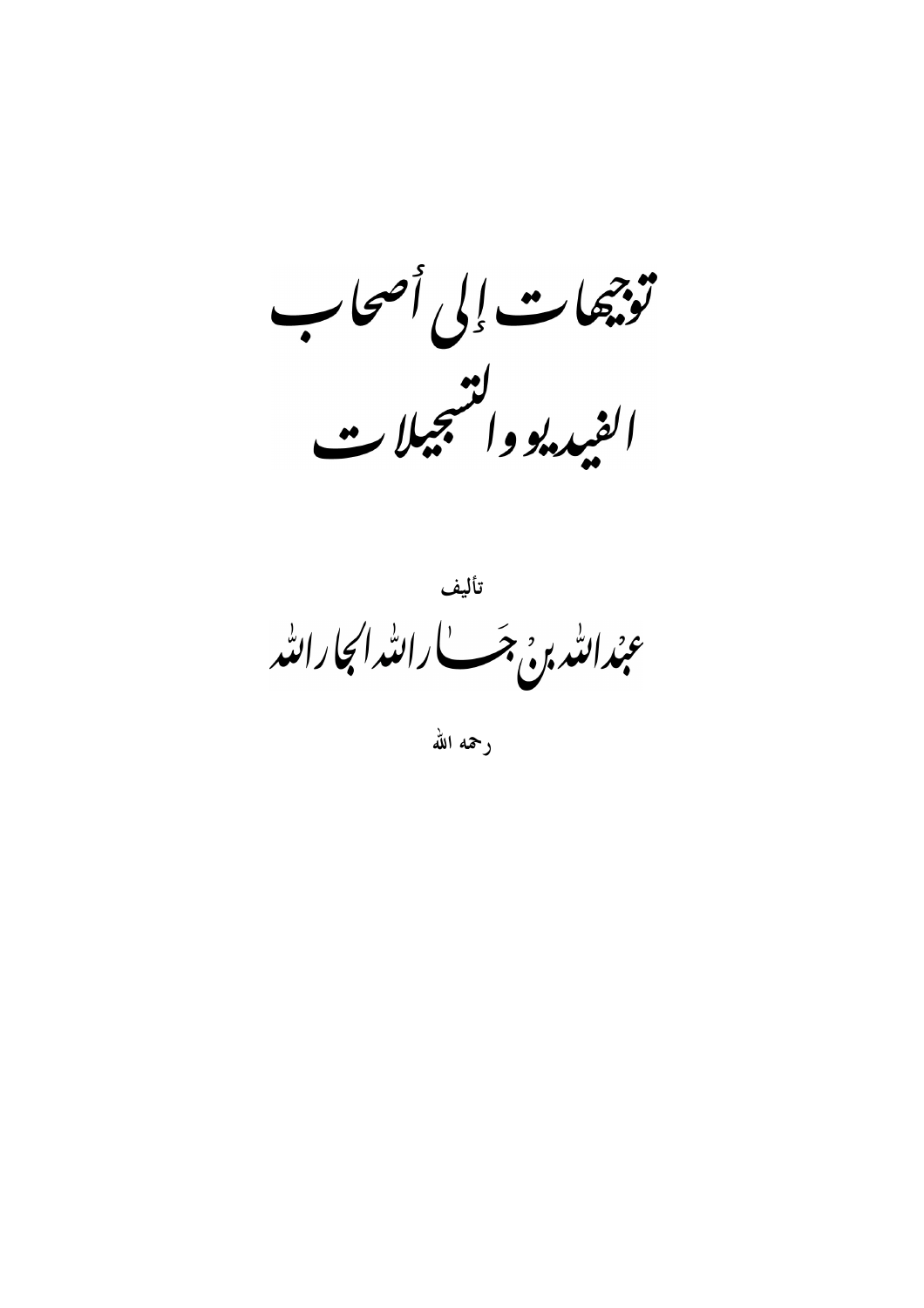تؤجيهات إلى أصحاب الفيد.<br>الفيد. والتنجيلات

<sub>تأليف</sub><br>عبدالله ب<sub>و</sub>ج جب بالله ال<mark>جارالل</mark>ه

رحمه الله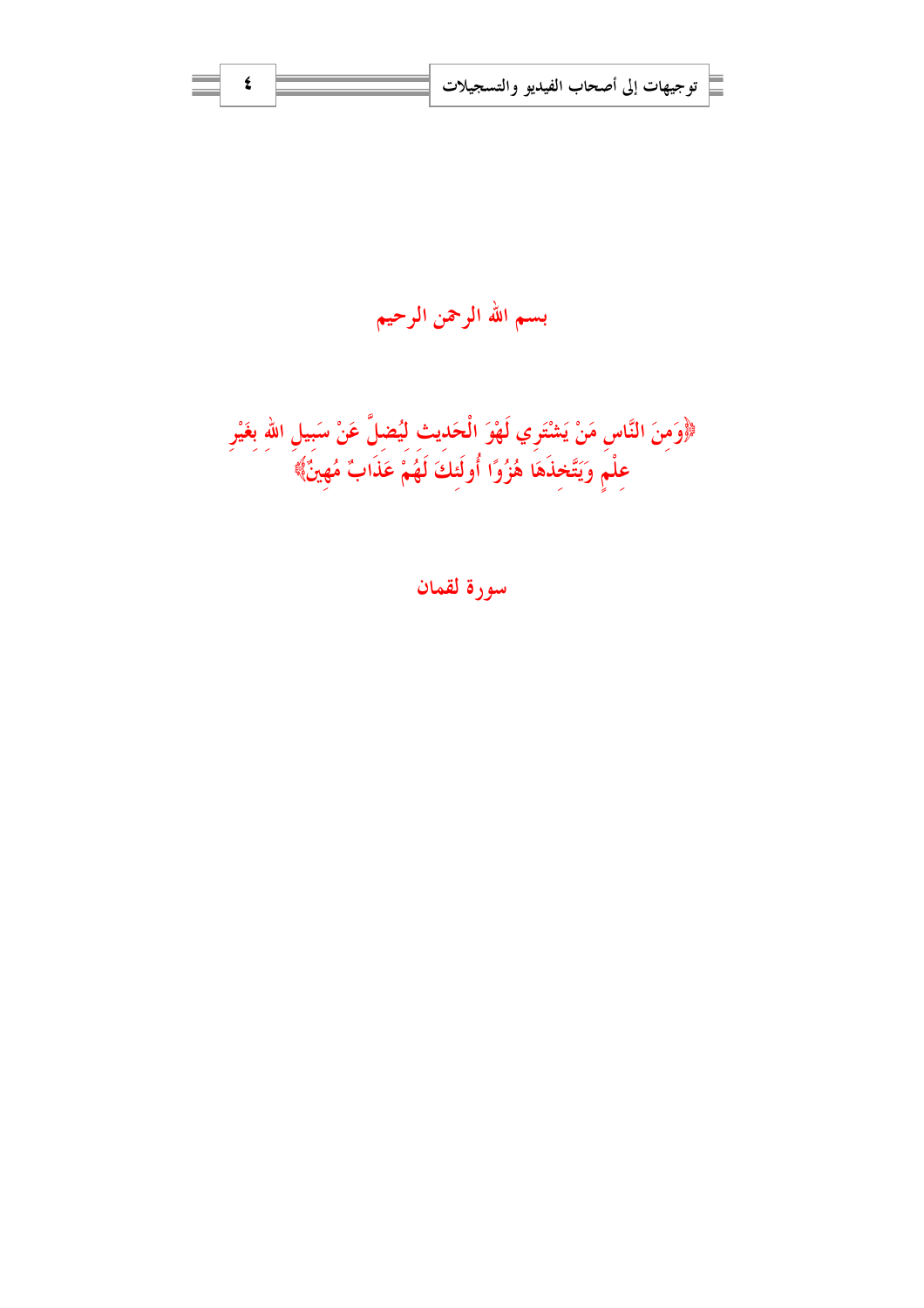

سورة لقمان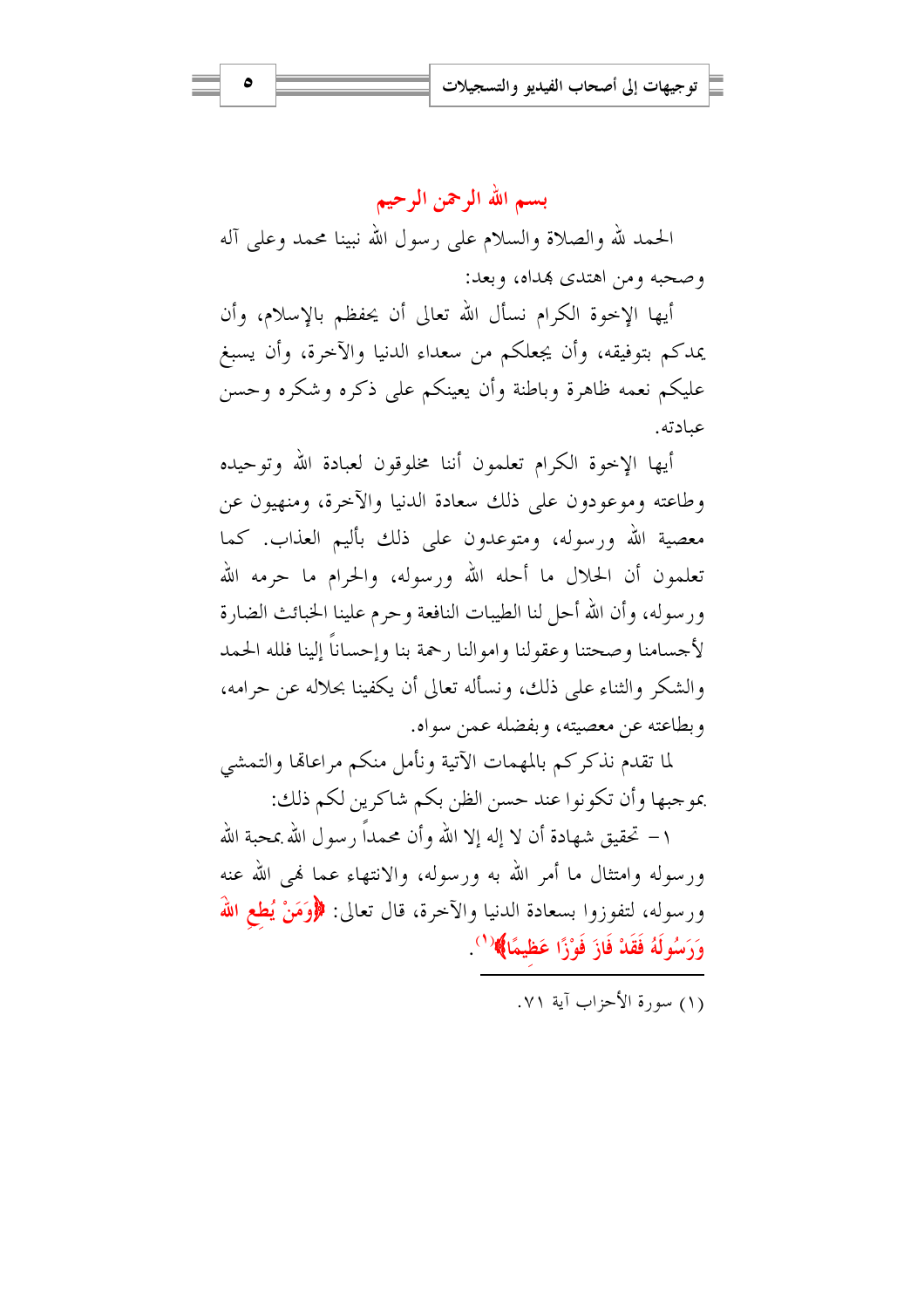بسم الله الرحمن الرحيم الحمد لله والصلاة والسلام على رسول الله نبينا محمد وعلى آله وصحبه ومن اهتدى بهداه، وبعد:

أيها الإخوة الكرام نسأل الله تعالى أن يحفظم بالإسلام، وأن يمدكم بتوفيقه، وأن يجعلكم من سعداء الدنيا والآخرة، وأن يسبغ عليكم نعمه ظاهرة وباطنة وأن يعينكم على ذكره وشكره وحسن عبادته.

أيها الإخوة الكرام تعلمون أننا مخلوقون لعبادة الله وتوحيده وطاعته وموعودون على ذلك سعادة الدنيا والآخرة، ومنهيون عن معصية الله ورسوله، ومتوعدون على ذلك بأليم العذاب. كما تعلمون أن الحلال ما أحله الله ورسوله، والحرام ما حرمه الله ورسوله، وأن الله أحل لنا الطيبات النافعة وحرم علينا الخبائث الضارة لأجسامنا وصحتنا وعقولنا واموالنا رحمة بنا وإحساناً إلينا فلله الحمد والشكر والثناء على ذلك، ونسأله تعالى أن يكفينا بحلاله عن حرامه، وبطاعته عن معصيته، وبفضله عبن سواه.

لما تقدم نذكركم بالمهمات الآتية ونأمل منكم مراعاتما والتمشي بموجبها وأن تكونوا عند حسن الظن بكم شاكرين لكم ذلك:

١ – تحقيق شهادة أن لا إله إلا الله وأن محمداً رسول الله بمحبة الله ورسوله وامتثال ما أمر الله به ورسوله، والانتهاء عما فمي الله عنه ورسوله، لتفوزوا بسعادة الدنيا والآخرة، قال تعالى: ﴿وَمَنْ يُطعِ اللَّهَ وَرَسُولَهُ فَقَدْ فَازَ فَوْزًا عَظيمًا﴾ (`).

(١) سورة الأحزاب آية ٧١.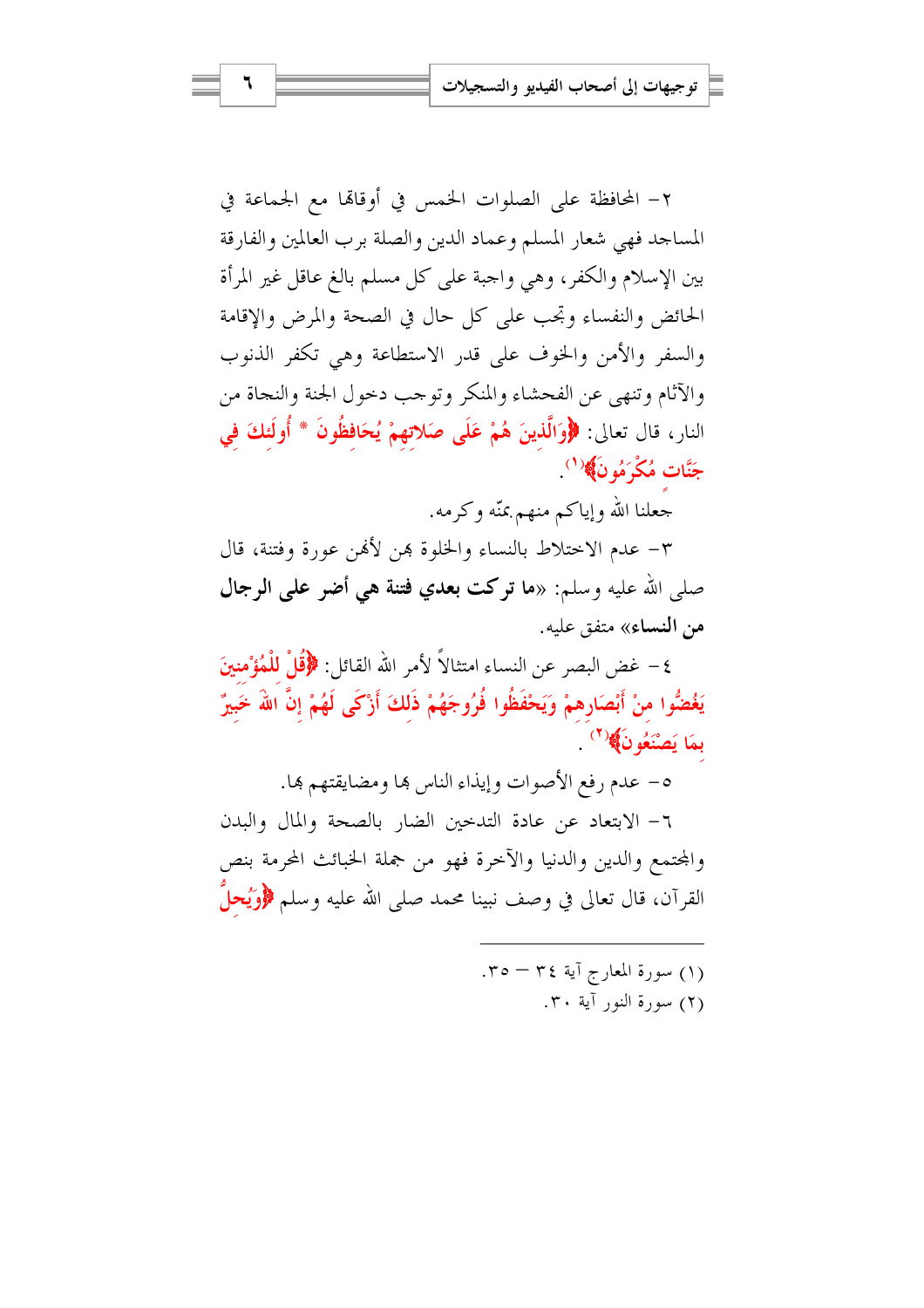٢– المحافظة على الصلوات الخمس في أوقاقما مع الجماعة في المساجد فهي شعار المسلم وعماد الدين والصلة برب العالمين والفارقة بين الإسلام والكفر، وهي واجبة على كل مسلم بالغ عاقل غير المرأة الحائض والنفساء وتحب على كل حال في الصحة والمرض والإقامة والسفر والأمن والخوف على قدر الاستطاعة وهي تكفر الذنوب والآثام وتنهى عن الفحشاء والمنكر وتوحب دحول الجنة والنجاة من النار، قال تعالى: ﴿وَالَّذِينَ هُمْ عَلَى صَلاتهِمْ يُحَافِظُونَ \* أُولَئِكَ في جَنَّات مُكْرَمُو نَ﴾( ْ )

جعلنا الله وإياكم منهم بمنّه وكرمه.

٣- عدم الاختلاط بالنساء والخلوة هن لأفمن عورة وفتنة، قال صلى الله عليه وسلم: «ما توكت بعدي فتنة هي أضو على الرجال من النساء» متفق عليه.

٤ – غض البصر عن النساء امتثالاً لأمر الله القائل: ﴿قُلْ لِلْمُؤْمِنِينَ يَغْضُوا منْ أَبْصَارِهِمْ وَيَحْفَظُوا فُرُوجَهُمْ ذَلكَ أَزْكَى لَهُمْ إِنَّ اللَّهَ خَبِيرٌ بِمَا يَصْنَعُو نَ﴾ (`)

٥- عدم رفع الأصوات وإيذاء الناس ها ومضايقتهم ها.

٦- الابتعاد عن عادة التدحين الضار بالصحة والمال والبدن والمحتمع والدين والدنيا والآحرة فهو من جملة الخبائث المحرمة بنص القرآن، قال تعالى في وصف نبينا محمد صلى الله عليه وسلم ﴿وَيُحلَّ

> (۱) سورة المعارج آية ٣٤ – ٣٥. (٢) سورة النور آية ٣٠.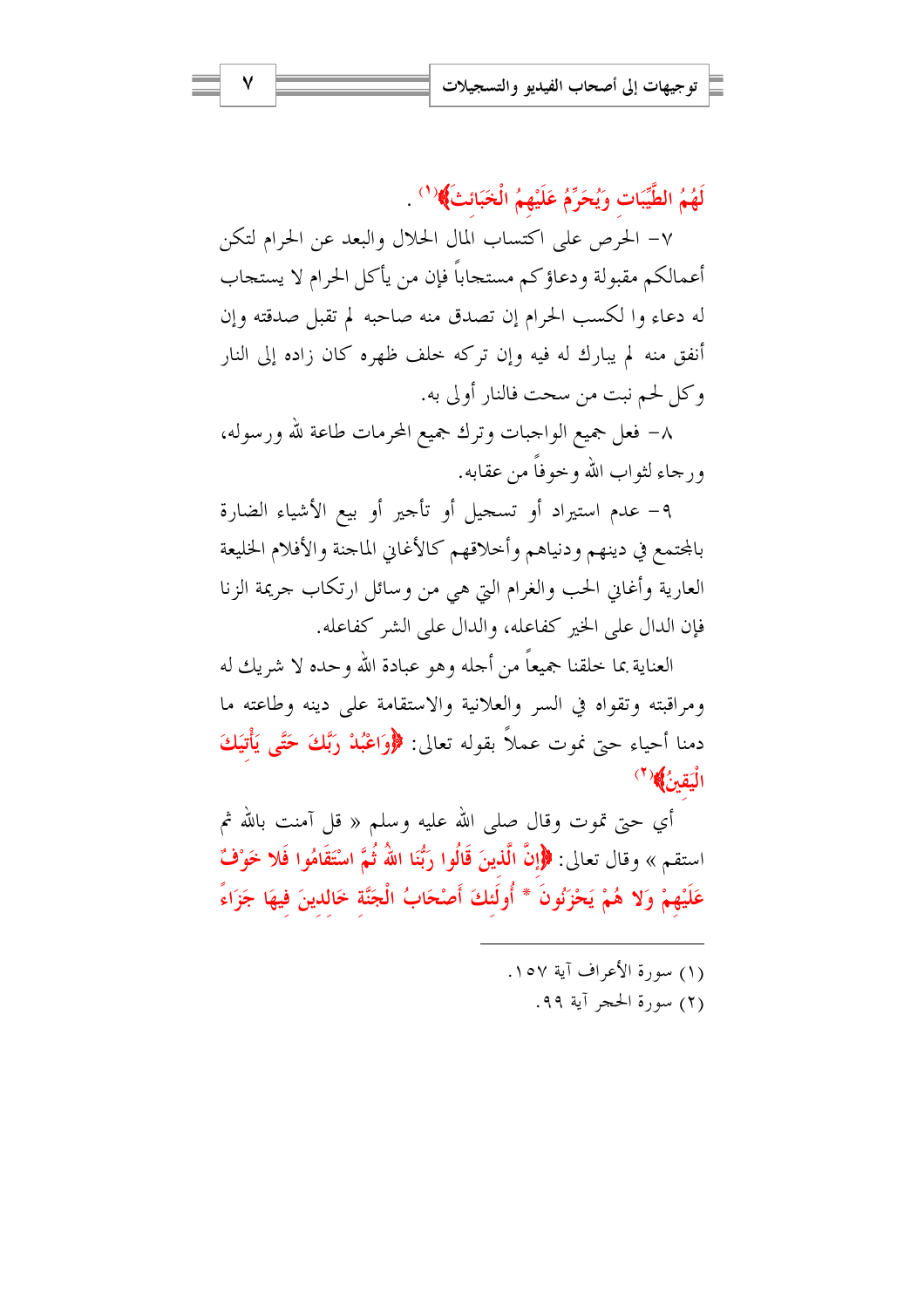لَهُمُ الطَّيِّبَاتِ وَيُحَرِّمُ عَلَيْهِمُ الْخَبَائِثَ﴾ `` .

٧– الحرص على اكتساب المال الحلال والبعد عن الحرام لتكن أعمالكم مقبولة ودعاؤكم مستجاباً فإن من يأكل الحرام لا يستجاب له دعاء وا لكسب الحرام إن تصدق منه صاحبه لم تقبل صدقته وإن أنفق منه لم يبارك له فيه وإن تركه خلف ظهره كان زاده إلى النار وكل لحم نبت من سحت فالنار أولى به.

٨– فعل جميع الواجبات وترك جميع المحرمات طاعة لله ورسوله، و رجاء لثواب الله و حوفاً من عقابه.

٩- عدم استيراد أو تسجيل أو تأجير أو بيع الأشياء الضارة بالمحتمع في دينهم ودنياهم وأحلاقهم كالأغابي الماجنة والأفلام الخليعة العارية وأغاني الحب والغرام التي هي من وسائل ارتكاب جريمة الزنا فإن الدال على الخير كفاعله، والدال على الشر كفاعله.

العناية بما خلقنا جميعاً من أحله وهو عبادة الله وحده لا شريك له ومراقبته وتقواه في السر والعلانية والاستقامة على دينه وطاعته ما دمنا أحياء حيّ نموت عملاً بقوله تعالى: ﴿وَاعْبُلْ رَبَّكَ حَتَّى يَأْتِيَكَ الْيَقِنُ﴾(٢)

أي حتى تموت وقال صلى الله عليه وسلم « قل آمنت بالله ثم استقم » وقال تعالى: ﴿إِنَّ الَّذِينَ قَالُوا رَبُّنَا اللَّهُ ثُمَّ اسْتَقَامُوا فَلا خَوْفٌ عَلَيْهِمْ وَلا هُمْ يَحْزَنُونَ \* أُولَئكَ أَصْحَابُ الْجَنَّة خَالدينَ فيهَا جَزَاءً

- (١) سورة الأعراف آبة ١٥٧.
	- (٢) سورة الحجر آية ٩٩.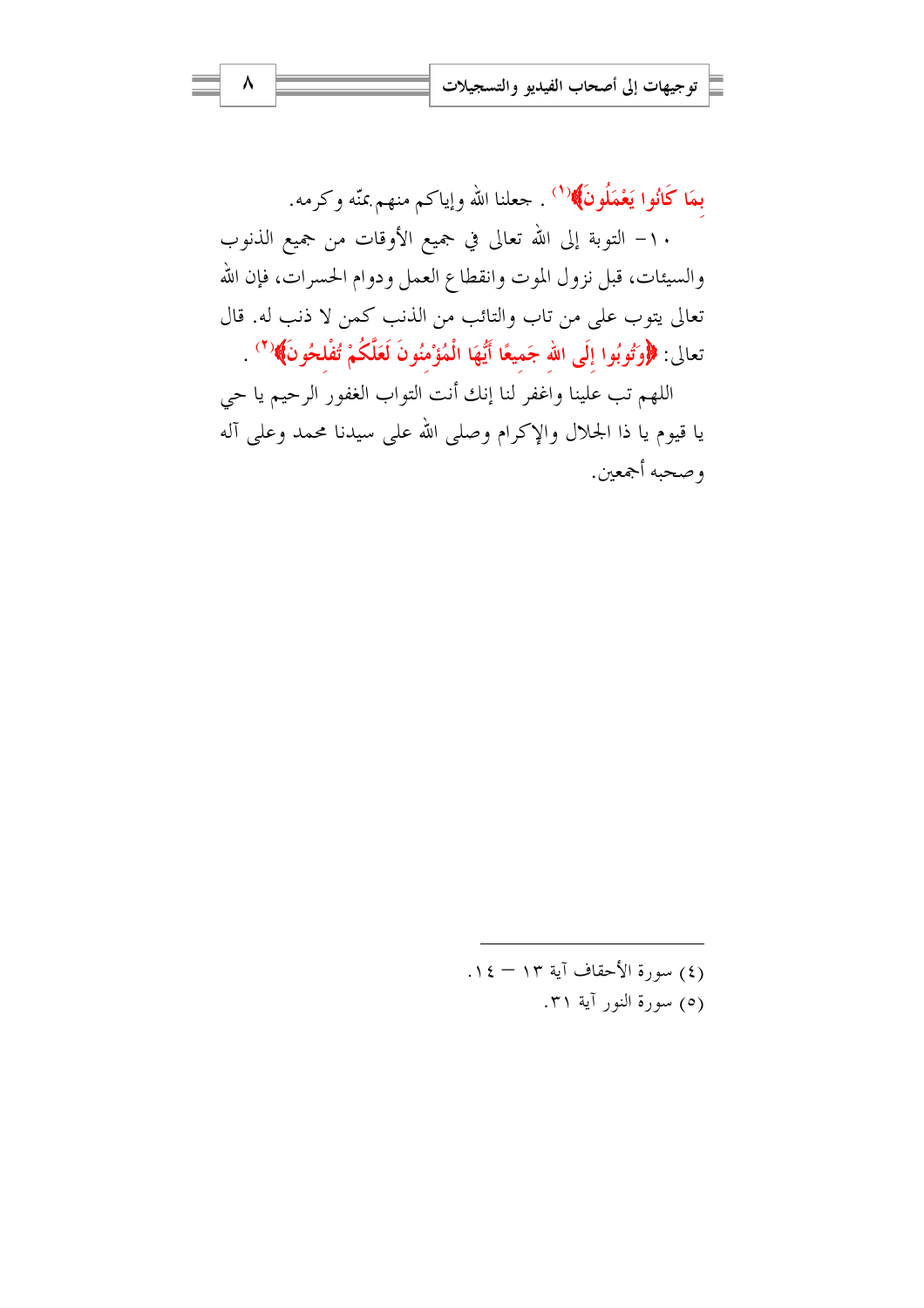بِمَا كَانُوا يَعْمَلُونَ﴾(<sup>(١)</sup> . جعلنا الله وإياكم منهم بمنّه وكرمه. ١٠– التوبة إلى الله تعالى في جميع الأوقات من جميع الذنوب والسيئات، قبل نزول الموت وانقطاع العمل ودوام الحسرات، فإن الله تعالى يتوب على من تاب والتائب من الذنب كمن لا ذنب له. قال تعالى: ﴿وَتُوبُوا إِلَى الله جَميعًا أَيُّهَا الْمُؤْمِنُونَ لَعَلَّكُمْ تُفْلحُونَ﴾(`' .

اللهم تب علينا واغفر لنا إنك أنت التواب الغفور الرحيم يا حي يا قيوم يا ذا الجلال والإكرام وصلى الله على سيدنا محمد وعلى آله وصحبه أجمعين.

> (٤) سورة الأحقاف آية ١٣ - ١٤. (٥) سورة النور آية ٣١.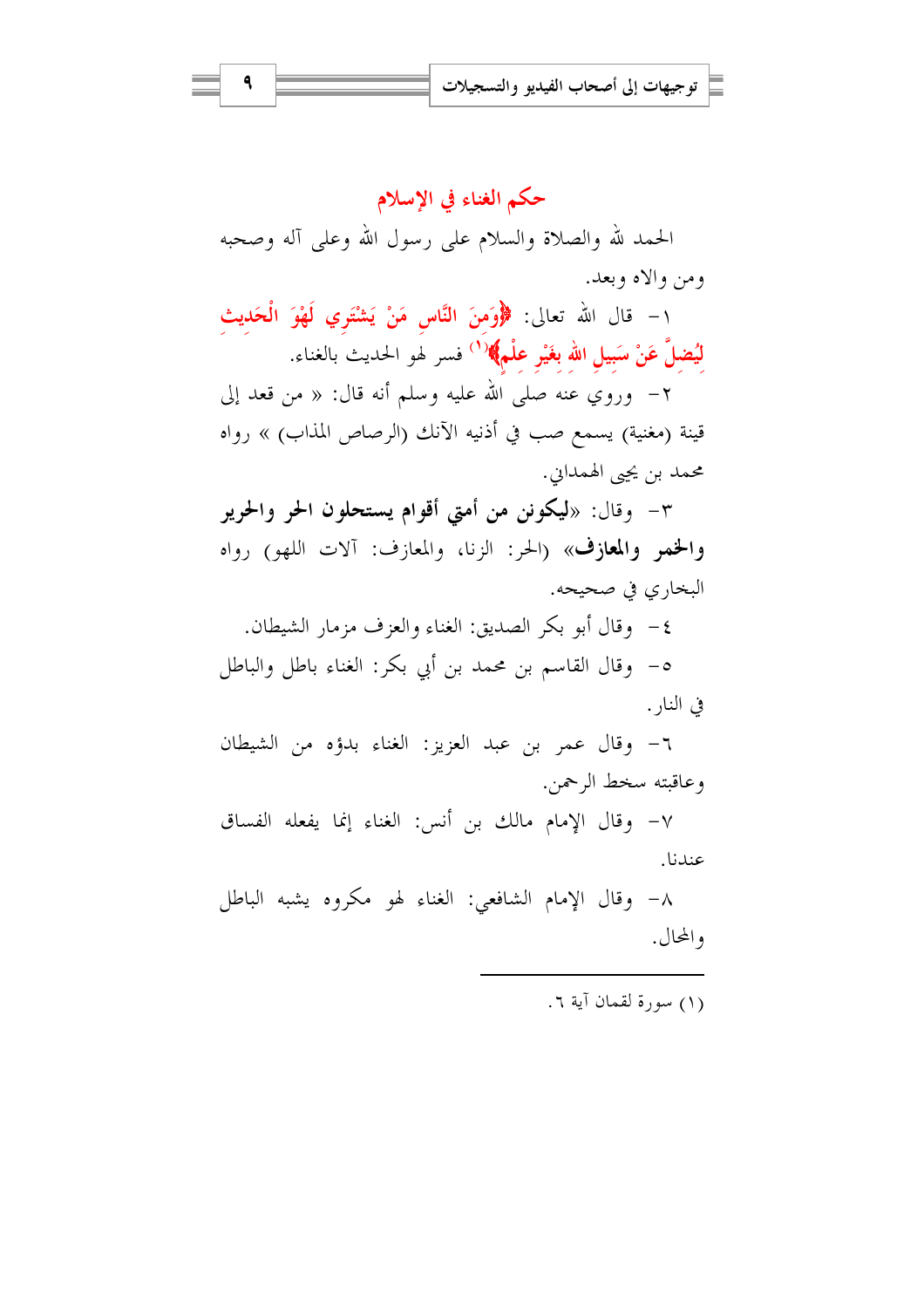حكم الغناء في الإسلام الحمد لله والصلاة والسلام على رسول الله وعلى آله وصحبه ومن والاه وبعد.

١- قال الله تعالى: ﴿وَمنَ النَّاسِ مَنْ يَشْتَرِي لَهْوَ الْحَديثِ **لْيُضلَّ عَنْ سَبِيلِ الله بغَيْرِ علْمِ﴾ (<sup>١</sup>) فسر لهو الحديث بالغناء.** 

٢– وروي عنه صلى الله عليه وسلم أنه قال: « من قعد إلى قينة (مغنية) يسمع صب في أذنيه الآنك (الرصاص المذاب) » رواه محمد بن يجيي الهمداين.

٣- وقال: «ليكونن من أمتى أقوام يستحلون الحر والحرير والخمر والمعازف» (الحر: الزنا، والمعازف: آلات اللهو) رواه البخاري في صحيحه.

٤- وقال أبو بكر الصديق: الغناء والعزف مزمار الشيطان. ٥- وقال القاسم بن محمد بن أبي بكر: الغناء باطل والباطل في النا, .

٦- وقال عمر بن عبد العزيز: الغناء بدؤه من الشيطان وعاقبته سخط الرحمن.

٧- وقال الإمام مالك بن أنس: الغناء إنما يفعله الفساق عندنا.

٨- وقال الإمام الشافعي: الغناء لهو مكروه يشبه الباطل والمحال.

(١) سورة لقمان آية ٦.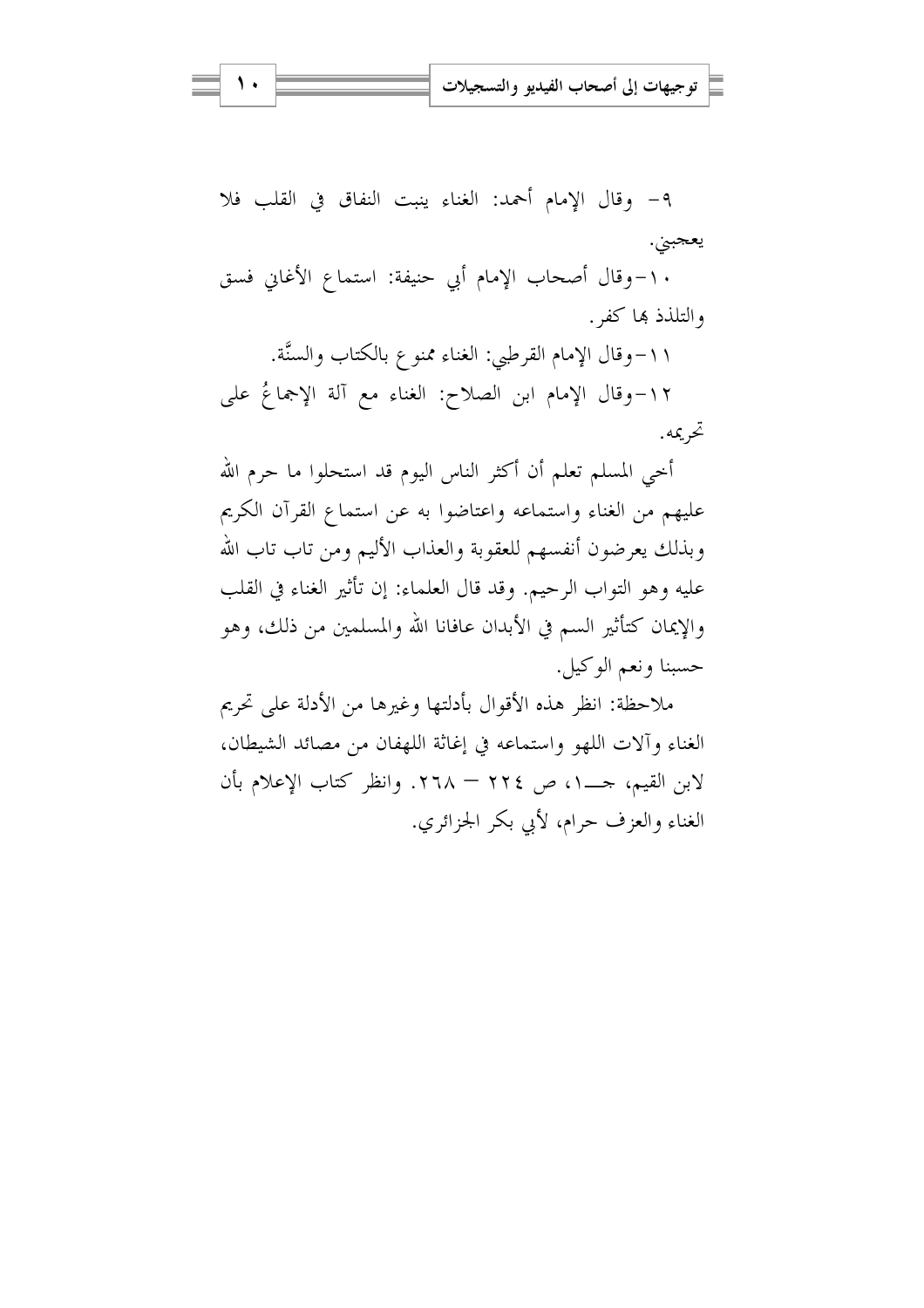٩- وقال الإمام أحمد: الغناء ينبت النفاق في القلب فلا يعجبني.

١٠-وقال أصحاب الإمام أبي حنيفة: استماع الأغابي فسق والتلذذ بها كفر .

١١-وقال الإمام القرطبي: الغناء ممنوع بالكتاب والسنَّة. ١٢-وقال الإمام ابن الصلاح: الغناء مع آلة الإجماعُ على تحريمه.

أخي المسلم تعلم أن أكثر الناس اليوم قد استحلوا ما حرم الله عليهم من الغناء واستماعه واعتاضوا به عن استماع القرآن الكريم وبذلك يعرضون أنفسهم للعقوبة والعذاب الأليم ومن تاب تاب الله عليه وهو التواب الرحيم. وقد قال العلماء: إن تأثير الغناء في القلب والإيمان كتأثير السم في الأبدان عافانا الله والمسلمين من ذلك، وهو حسبنا ونعم الوكيل.

ملاحظة: انظر هذه الأقوال بأدلتها وغيرها من الأدلة على تحريم الغناء وآلات اللهو واستماعه في إغاثة اللهفان من مصائد الشيطان، الغناء والعزف حرام، لأبي بكر الجزائري.

۱.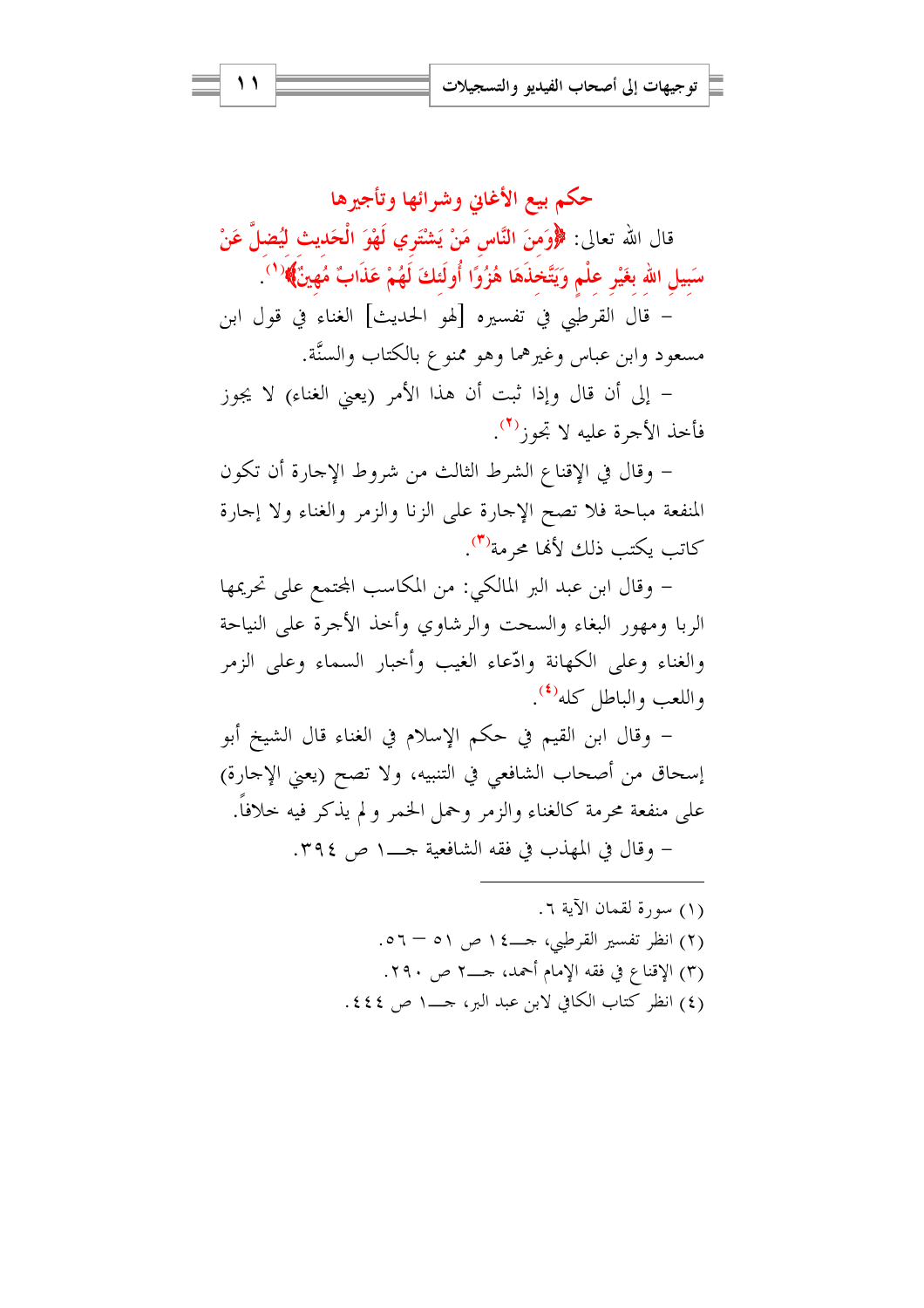حكم بيع الأغابي وشرائها وتأجيرها قال الله تعالى: ﴿وَمِنَ النَّاسِ مَنْ يَشْتَرِي لَهْوَ الْحَديثِ لَيُضلَّ عَنْ سَبِيلِ اللهِ بغَيْرِ عِلْمٍ وَيَتَّخذَهَا هُزُوًا أُولَئكَ لَهُمْ عَذَابٌ مُهِينٌ﴾ ( ' ) – قال القرطبي في تفسيره [لهو الحديث] الغناء في قول ابن

مسعود وابن عباس وغيرهما وهو ممنوع بالكتاب والسنَّة.

– إلى أن قال وإذا ثبت أن هذا الأمر (يعني الغناء) لا يجوز فأخذ الأجرة عليه لا تجوز<sup>(٢)</sup>.

– وقال في الإقناع الشرط الثالث من شروط الإجارة أن تكون المنفعة مباحة فلا تصح الإجارة على الزنا والزمر والغناء ولا إجارة كاتب يكتب ذلك لألها محرمة<sup>(٣)</sup>.

– وقال ابن عبد البر المالكي: من المكاسب المحتمع على تحريمها الربا ومهور البغاء والسحت والرشاوي وأحذ الأجرة على النياحة والغناء وعلى الكهانة وادّعاء الغيب وأحبار السماء وعلى الزمر واللعب والباطل كله<sup>(٤)</sup>.

– وقال ابن القيم في حكم الإسلام في الغناء قال الشيخ أبو إسحاق من أصحاب الشافعي في التنبيه، ولا تصح (يعني الإحارة) على منفعة محرمة كالغناء والزمر وحمل الخمر و لم يذكر فيه حلافاً. 

> (١) سورة لقمان الآية ٦. (٢) انظر تفسير القرطبي، حـــ٤١ ص ٥١ – ٥٦. (٣) الإقناع في فقه الإمام أحمد، جـــ٢ ص ٢٩٠. (٤) انظر كتاب الكافي لابن عبد البر، حــــ١ ص ٤٤٤.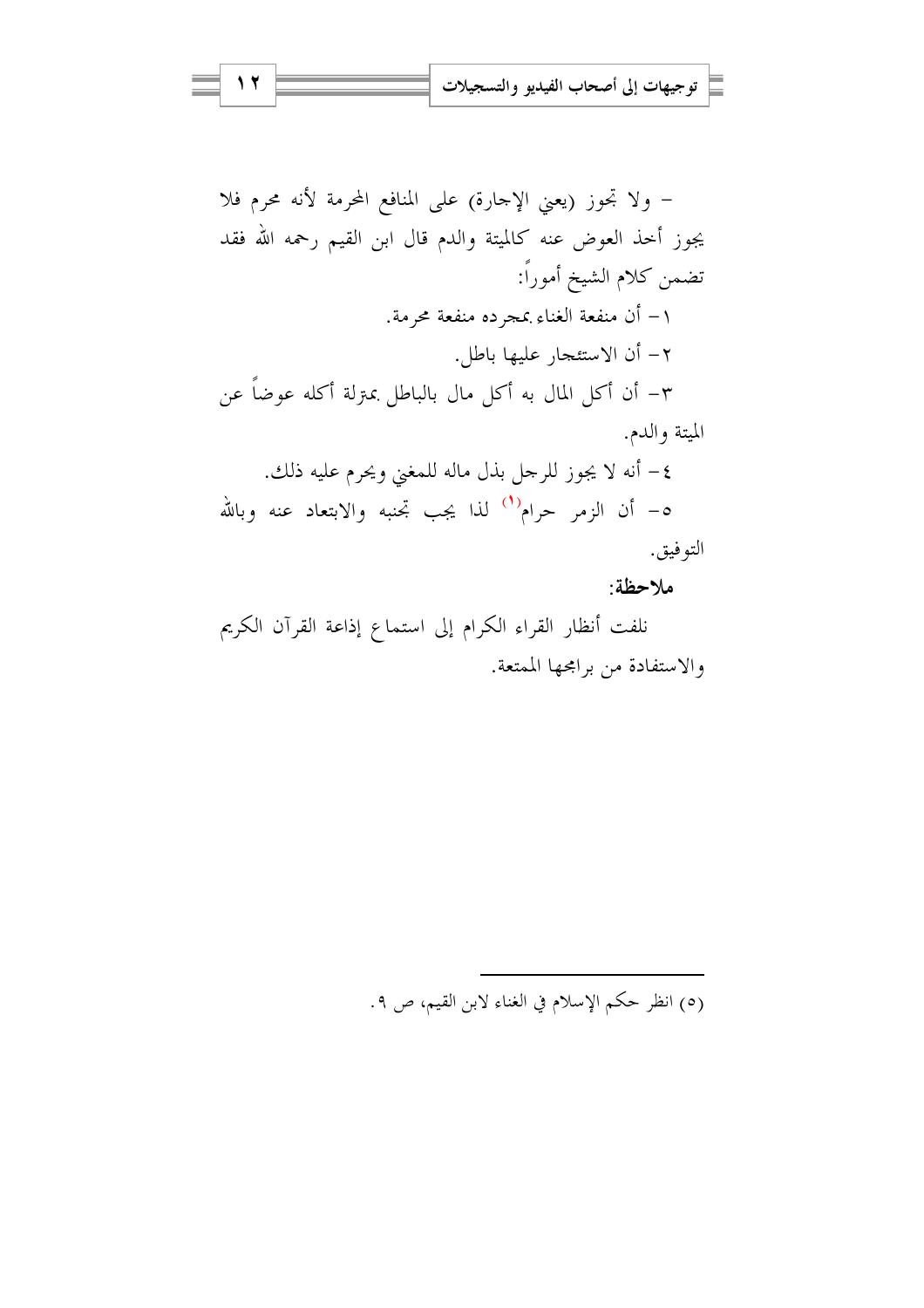– ولا تجوز (يعني الإجارة) على المنافع المحرمة لأنه محرم فلا يجوز أحذ العوض عنه كالميتة والدم قال ابن القيم رحمه الله فقد تضمن كلام الشيخ أموراً: ١– أن منفعة الغناء بمجرده منفعة محرمة. ٢- أن الاستئجار عليها باطل. ٣– أن أكل المال به أكل مال بالباطل بمترلة أكله عوضاً عن الميتة والدم. ٤- أنه لا يجوز للرجل بذل ماله للمغنى ويحرم عليه ذلك. ه- أن الزمر حرام<sup>(١)</sup> لذا يجب تجنبه والابتعاد عنه وبالله التوفيق. ملاحظة:

نلفت أنظار القراء الكرام إلى استماع إذاعة القرآن الكريم والاستفادة من برامجها الممتعة.

(٥) انظر حكم الإسلام في الغناء لابن القيم، ص ٩.

12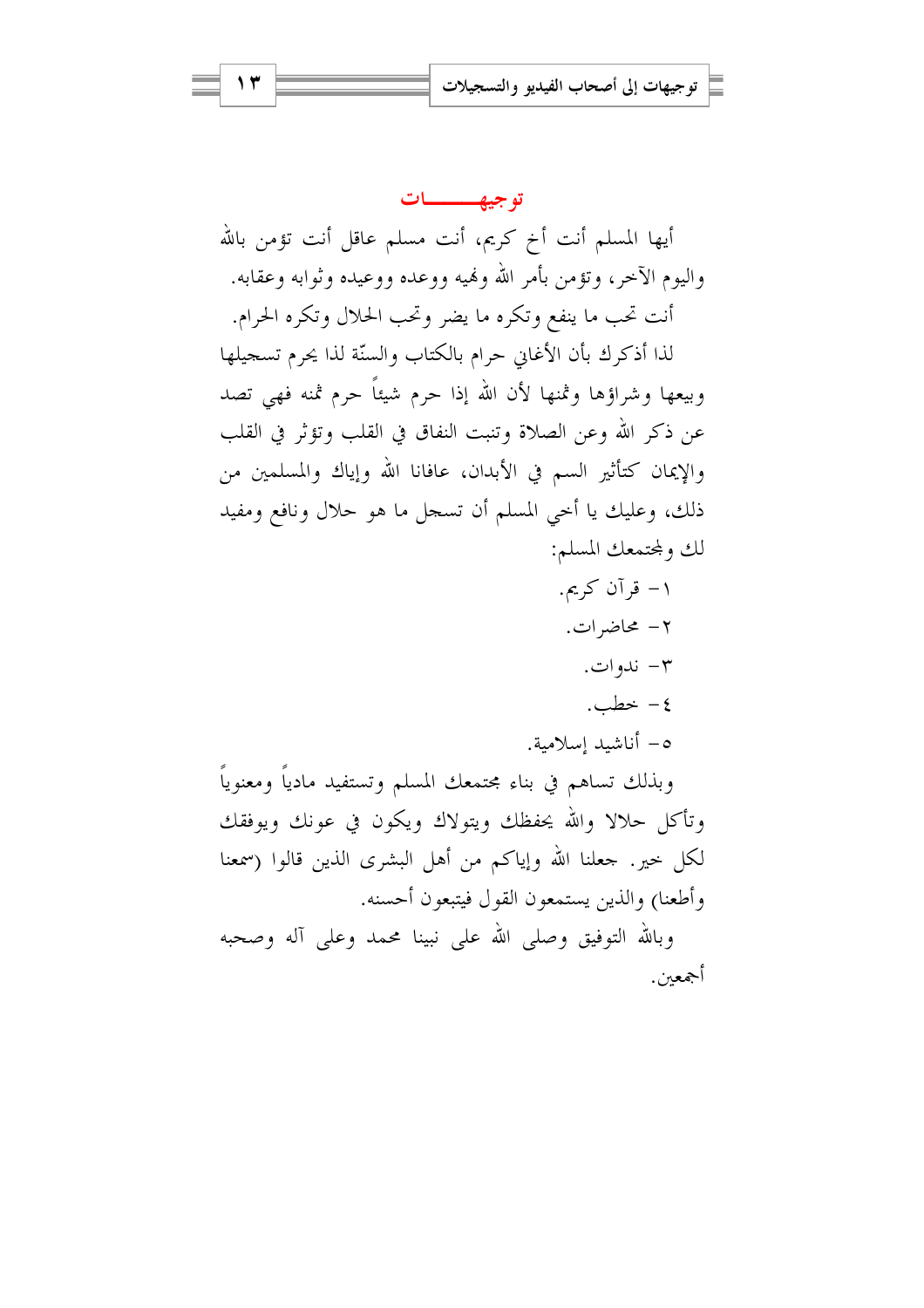۱۲

توجي<u>ه ـــ</u>ـات أيها المسلم أنت أخ كريم، أنت مسلم عاقل أنت تؤمن بالله واليوم الآحر، وتؤمن بأمر الله ولهيه ووعده ووعيده وثوابه وعقابه. أنت تحب ما ينفع وتكره ما يضر وتحب الحلال وتكره الحرام. لذا أذكرك بأن الأغاني حرام بالكتاب والسنّة لذا يحرم تسجيلها وبيعها وشراؤها وثمنها لأن الله إذا حرم شيئاً حرم ثمنه فهي تصد عن ذكر الله وعن الصلاة وتنبت النفاق في القلب وتؤثر في القلب والإيمان كتأثير السم في الأبدان، عافانا الله وإياك والمسلمين من ذلك، وعليك يا أخي المسلم أن تسجل ما هو حلال ونافع ومفيد لك ولمحتمعك المسلم: ۱– قرآن کریم. ٢- محاضرات. - ندوات $-$ ٤- خطب. 0– أناشيد إسلامية. وبذلك تساهم في بناء محتمعك المسلم وتستفيد مادياً ومعنوياً وتأكل حلالا والله يحفظك ويتولاك ويكون في عونك ويوفقك لكل حيرٍ. جعلنا الله وإياكم من أهل البشرى الذين قالوا (سمعنا وأطعنا) والذين يستمعون القول فيتبعون أحسنه. وبالله التوفيق وصلى الله على نبينا محمد وعلى آله وصحبه

أجمعين.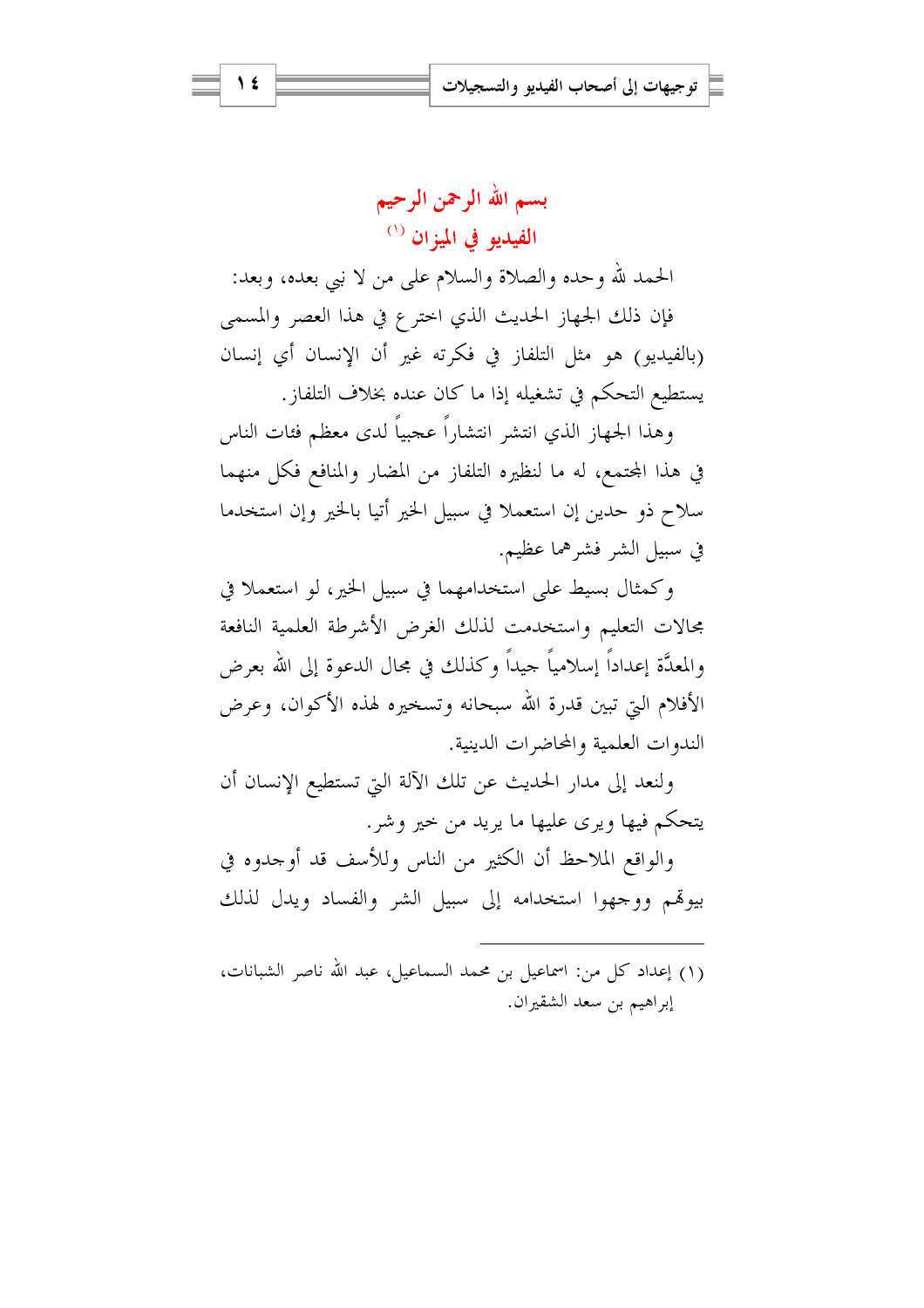الحمد لله وحده والصلاة والسلام على من لا بيي بعده، وبعد: فإن ذلك الجهاز الحديث الذي اخترع في هذا العصر والمسمى (بالفيديو) هو مثل التلفاز في فكرته غير أن الإنسان أي إنسان يستطيع التحكم في تشغيله إذا ما كان عنده بخلاف التلفاز.

وهذا الجهاز الذي انتشر انتشاراً عجبياً لدى معظم فئات الناس في هذا المحتمع، له ما لنظيره التلفاز من المضار والمنافع فكل منهما سلاح ذو حدين إن استعملا في سبيل الخير أتيا بالخير وإن استخدما في سبيل الشر فشرهما عظيم.

وكمثال بسيط على استخدامهما في سبيل الخير، لو استعملا في مجالات التعليم واستخدمت لذلك الغرض الأشرطة العلمية النافعة والمعدَّة إعداداً إسلامياً حيداً وكذلك في مجال الدعوة إلى الله بعرض الأفلام التي تبين قدرة الله سبحانه وتسخيره لهذه الأكوان، وعرض الندوات العلمية والمحاضرات الدينية.

ولنعد إلى مدار الحديث عن تلك الآلة التي تستطيع الإنسان أن يتحكم فيها ويرى عليها ما يريد من حير وشر .

والواقع الملاحظ أن الكثير من الناس وللأسف قد أوجدوه في بيوقم ووجهوا استخدامه إلى سبيل الشر والفساد ويدل لذلك

(١) إعداد كل من: اسماعيل بن محمد السماعيل، عبد الله ناصر الشبانات، إبراهيم بن سعد الشقيران.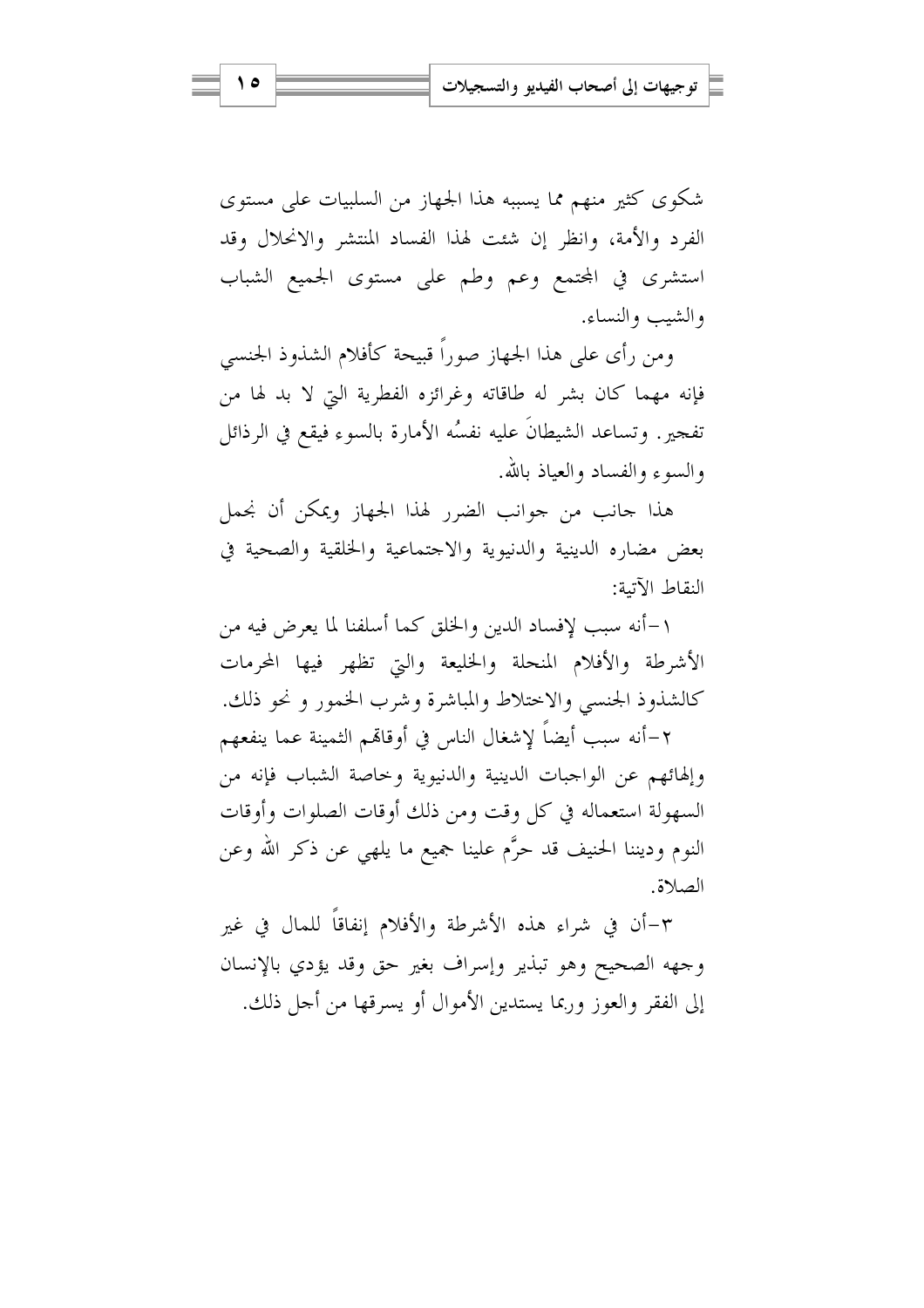شکوی کثیر منهم مما يسببه هذا الجهاز من السلبيات على مستوى الفرد والأمة، وانظر إن شئت لهذا الفساد المنتشر والانحلال وقد استشرى في المحتمع وعم وطم على مستوى الجميع الشباب والشبب والنساء.

ومن رأى على هذا الجهاز صوراً قبيحة كأفلام الشذوذ الجنسي فإنه مهما كان بشر له طاقاته وغرائزه الفطرية التي لا بد لها من تفجير. وتساعد الشيطانَ عليه نفسُه الأمارة بالسوء فيقع في الرذائل والسوء والفساد والعباذ بالله.

هذا جانب من جوانب الضرر لهذا الجهاز ويمكن أن نجمل بعض مضاره الدينية والدنيوية والاجتماعية والخلقية والصحية في النقاط الآتية:

١–أنه سبب لإفساد الدين والخلق كما أسلفنا لما يعرض فيه من الأشرطة والأفلام المنحلة والخليعة والتي تظهر فيها المحرمات كالشذوذ الجنسي والاختلاط والمباشرة وشرب الخمور ونحو ذلك.

٢–أنه سبب أيضاً لإشغال الناس في أوقاتمم الثمينة عما ينفعهم وإلهائهم عن الواجبات الدينية والدنيوية وخاصة الشباب فإنه من السهولة استعماله في كل وقت ومن ذلك أوقات الصلوات وأوقات النوم وديننا الحنيف قد حرَّم علينا جميع ما يلهي عن ذكر الله وعن الصلاة.

٣-أن في شراء هذه الأشرطة والأفلام إنفاقاً للمال في غير وجهه الصحيح وهو تبذير وإسراف بغير حق وقد يؤدي بالإنسان إلى الفقر والعوز وربما يستدين الأموال أو يسرقها من أجل ذلك.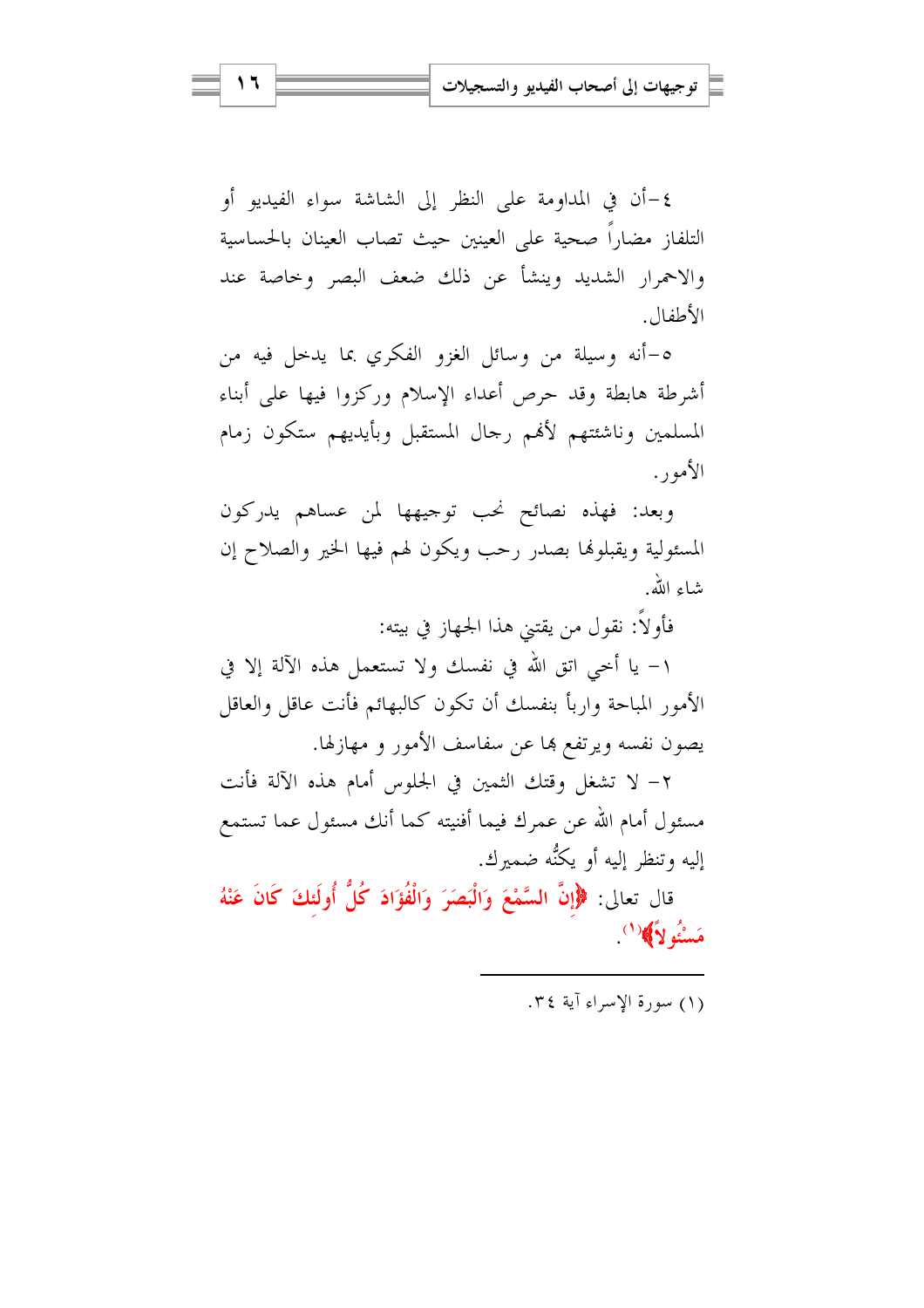٤ –أن في المداومة على النظر إلى الشاشة سواء الفيديو أو التلفاز مضاراً صحية على العينين حيث تصاب العينان بالحساسية والاحمرار الشديد وينشأ عن ذلك ضعف البصر وحاصة عند الأطفال.

٥–أنه وسيلة من وسائل الغزو الفكري بما يدحل فيه من أشرطة هابطة وقد حرص أعداء الإسلام وركزوا فيها على أبناء المسلمين وناشئتهم لأفمم رجال المستقبل وبأيديهم ستكون زمام الأمور.

وبعد: فهذه نصائح نحب توجيهها لمن عساهم يدركون المسئولية ويقبلونها بصدر رحب ويكون لهم فيها الخير والصلاح إن شاء الله.

فأولاً: نقول من يقتني هذا الجهاز في بيته:

١– يا أخي اتق الله في نفسك ولا تستعمل هذه الآلة إلا في الأمور المباحة واربأ بنفسك أن تكون كالبهائم فأنت عاقل والعاقل يصون نفسه ويرتفع ها عن سفاسف الأمور و مهازلها.

٢– لا تشغل وقتك الثمين في الجلوس أمام هذه الآلة فأنت مسئول أمام الله عن عمرك فيما أفنيته كما أنك مسئول عما تستمع إليه وتنظر إليه أو يكنُّه ضميرك.

قال تعالى: ﴿إِنَّ السَّمْعَ وَالْبَصَرَ وَالْفُؤَادَ كُلُّ أُولَئِكَ كَانَ عَنْهُ مَسْئُو لاَ﴾ (')

(١) سورة الأسراء آية ٣٤.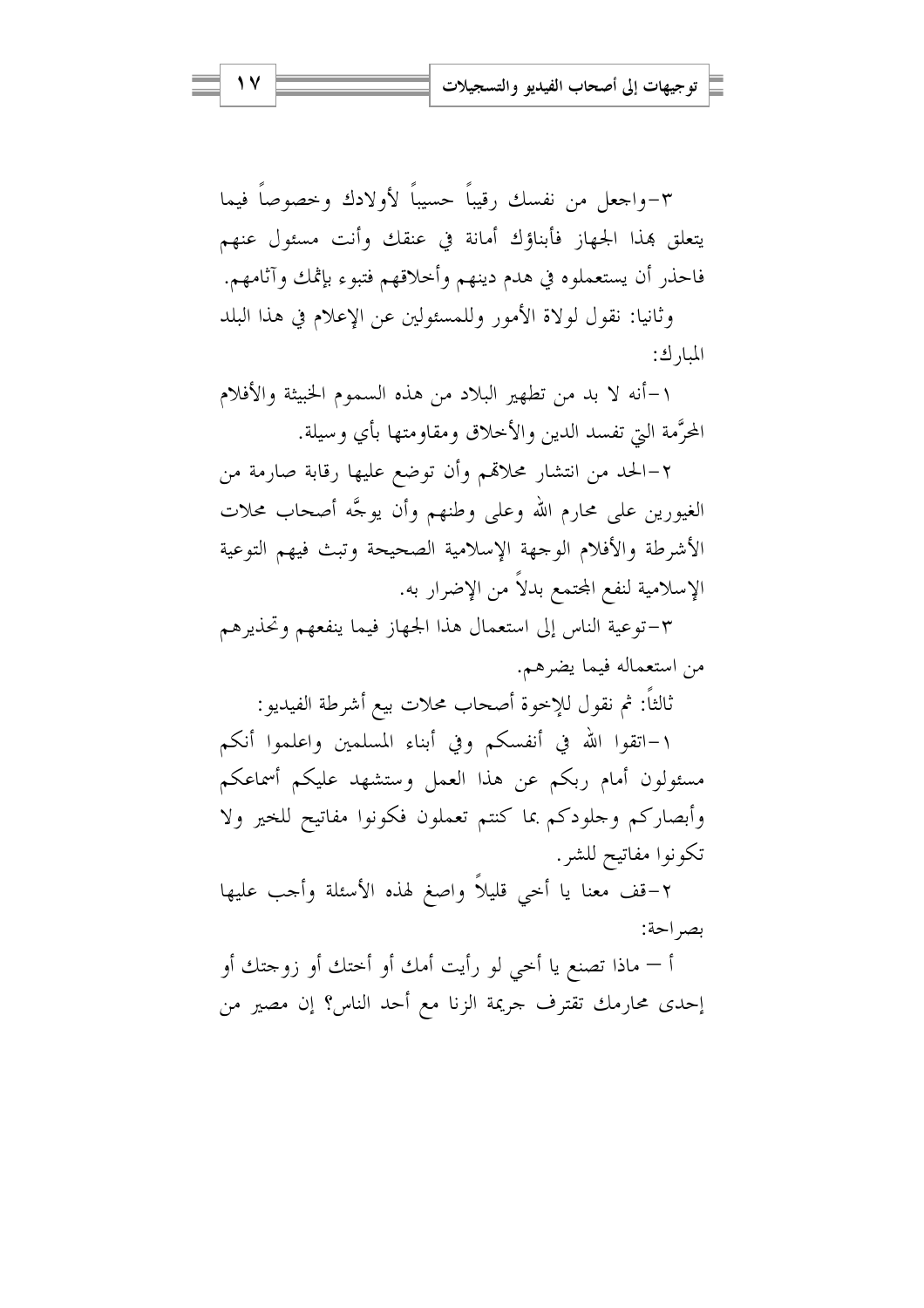٣-واجعل من نفسك رقيباً حسيباً لأولادك وحصوصاً فيما يتعلق بهذا الجهاز فأبناؤك أمانة في عنقك وأنت مسئول عنهم فاحذر أن يستعملوه في هدم دينهم وأخلاقهم فتبوء بإثمك وآثامهم. وثانيا: نقول لولاة الأمور وللمسئولين عن الإعلام في هذا البلد

المبا, ك:

١–أنه لا بد من تطهير البلاد من هذه السموم الخبيثة والأفلام المحرَّمة البيّ تفسد الدين والأخلاق ومقاومتها بأي وسيلة.

٢–الحد من انتشار محلاقمم وأن توضع عليها رقابة صارمة من الغيورين على محارم الله وعلى وطنهم وأن يوجَّه أصحاب محلات الأشرطة والأفلام الوجهة الإسلامية الصحيحة وتبث فيهم التوعية الإسلامية لنفع المحتمع بدلاً من الإضرار به.

٣-توعية الناس إلى استعمال هذا الجهاز فيما ينفعهم وتحذيرهم من استعماله فيما يضرهم.

ثالثاً: ثم نقول للإخوة أصحاب محلات بيع أشرطة الفيديو :

١–اتقوا الله في أنفسكم وفي أبناء المسلمين واعلموا أنكم مسئولون أمام ربكم عن هذا العمل وستشهد عليكم أسماعكم وأبصاركم وحلودكم بما كنتم تعملون فكونوا مفاتيح للخير ولا تكونوا مفاتيح للشر.

٢–قف معنا يا أخي قليلاً واصغ لهذه الأسئلة وأحب عليها بصر احة:

أ — ماذا تصنع يا أخي لو رأيت أمك أو أختك أو زوجتك أو إحدى محارمك تقترف جريمة الزنا مع أحد الناس؟ إن مصير من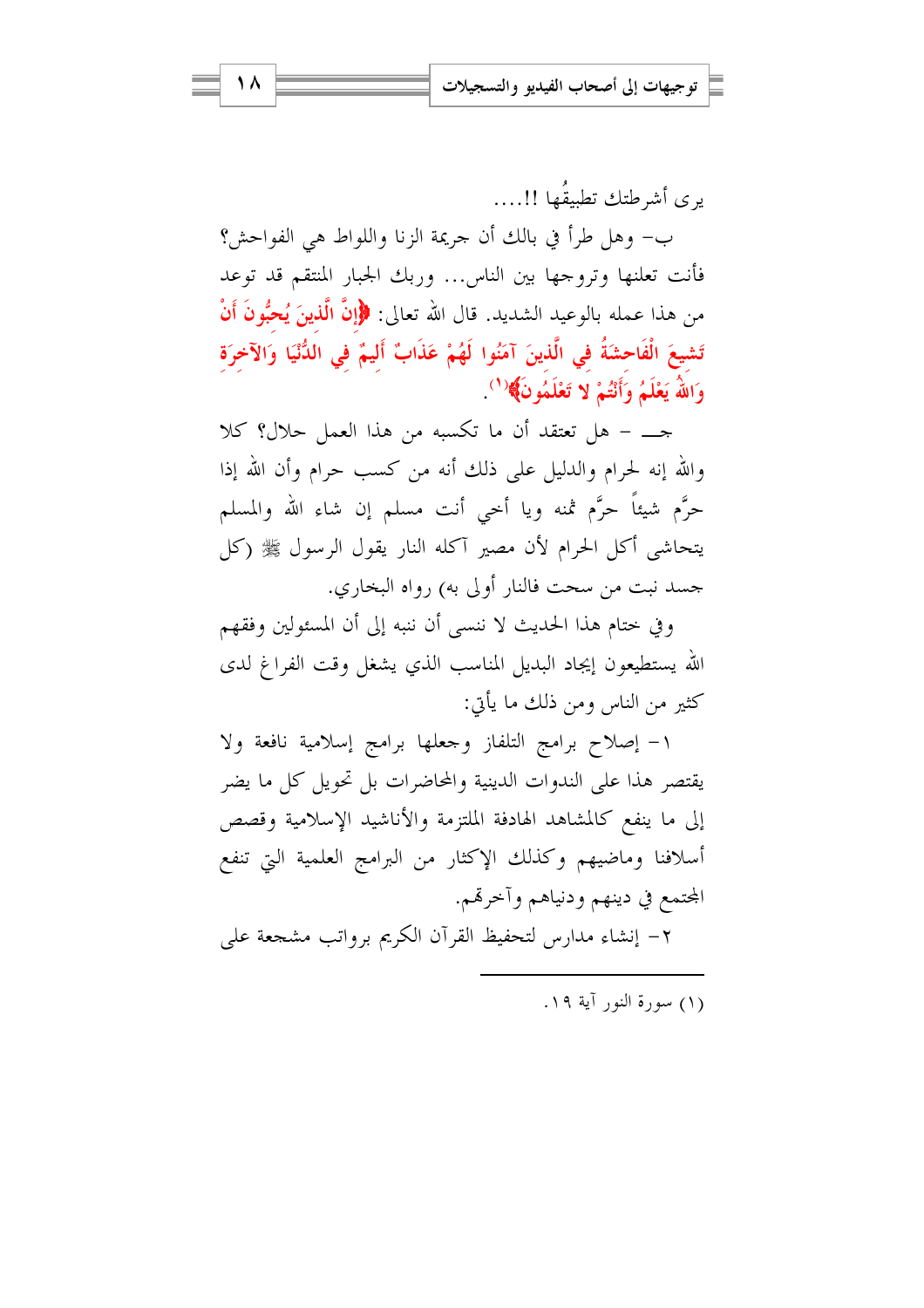يري أشرطتك تطبيقُها !!....

ب- وهل طرأ في بالك أن جريمة الزنا واللواط هي الفواحش؟ فأنت تعلنها وتروجها بين الناس... وربك الجبار المنتقم قد توعد من هذا عمله بالوعيد الشديد. قال الله تعالى: ﴿إِنَّ الَّذِينَ يُحِبُّونَ أَنْ تَشيعَ الْفَاحشَةُ في الَّذينَ آمَنُوا لَهُمْ عَذَابٌ أَليمٌ في الدُّنْيَا وَالآخرَة وَاللَّهُ يَعْلَمُ وَأَنْتُمْ لا تَعْلَمُونَ﴾(')

جـــ – هل تعتقد أن ما تكسبه من هذا العمل حلال؟ كلا والله إنه لحرام والدليل على ذلك أنه من كسب حرام وأن الله إذا حرَّم شيئاً حرَّم ثمنه ويا أحى أنت مسلم إن شاء الله والمسلم يتحاشى أكل الحرام لأن مصير آكله النار يقول الرسول ﷺ (كل جسد نبت من سحت فالنار أولى به) رواه البخاري.

وفي ختام هذا الحديث لا ننسى أن ننبه إلى أن المسئولين وفقهم الله يستطيعون إيجاد البديل المناسب الذي يشغل وقت الفراغ لدى كثير من الناس ومن ذلك ما يأتي:

١- إصلاح برامج التلفاز وجعلها برامج إسلامية نافعة ولا يقتصر هذا على الندوات الدينية والمحاضرات بل تحويل كل ما يضر إلى ما ينفع كالمشاهد الهادفة الملتزمة والأناشيد الإسلامية وقصص أسلافنا وماضيهم وكذلك الإكثار من البرامج العلمية التي تنفع المجتمع في دينهم ودنياهم وأخرقهم.

٢- إنشاء مدارس لتحفيظ القرآن الكريم برواتب مشجعة على

(١) سورة النور آية ١٩.